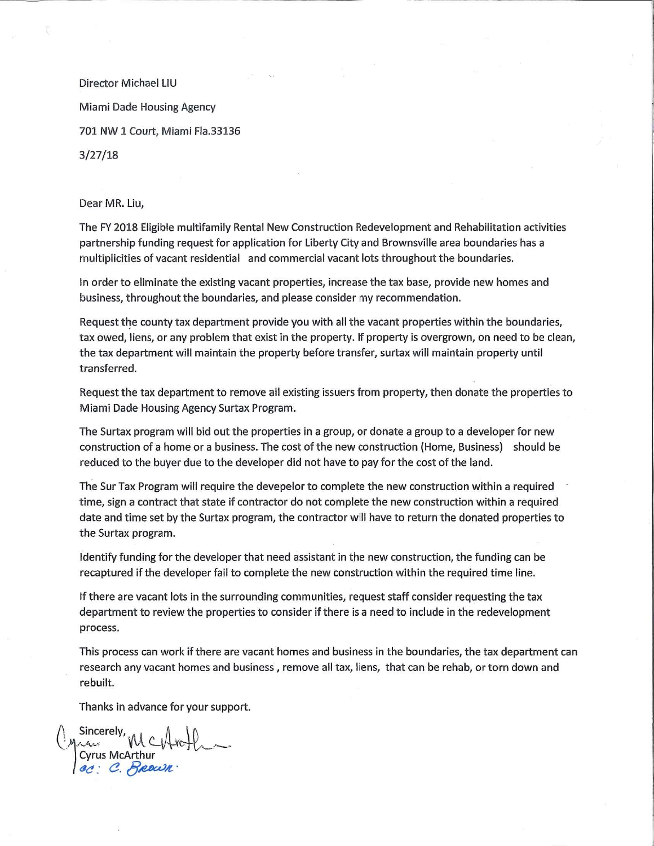Director Michael LIU

**Miami Dade Housing Agency** 

701 NW 1 Court, Miami Fla.33136

 $3/27/18$ 

Dear MR. Liu,

The FY 2018 Eligible multifamily Rental New Construction Redevelopment and Rehabilitation activities partnership funding request for application for Liberty City and Brownsville area boundaries has a multiplicities of vacant residential and commercial vacant lots throughout the boundaries.

In order to eliminate the existing vacant properties, increase the tax base, provide new homes and business, throughout the boundaries, and please consider my recommendation.

Request the county tax department provide you with all the vacant properties within the boundaries, tax owed, liens, or any problem that exist in the property. If property is overgrown, on need to be clean, the tax department will maintain the property before transfer, surtax will maintain property until transferred.

Request the tax department to remove all existing issuers from property, then donate the properties to Miami Dade Housing Agency Surtax Program.

The Surtax program will bid out the properties in a group, or donate a group to a developer for new construction of a home or a business. The cost of the new construction (Home, Business) should be reduced to the buyer due to the developer did not have to pay for the cost of the land.

The Sur Tax Program will require the devepelor to complete the new construction within a required time, sign a contract that state if contractor do not complete the new construction within a required date and time set by the Surtax program, the contractor will have to return the donated properties to the Surtax program.

Identify funding for the developer that need assistant in the new construction, the funding can be recaptured if the developer fail to complete the new construction within the required time line.

If there are vacant lots in the surrounding communities, request staff consider requesting the tax department to review the properties to consider if there is a need to include in the redevelopment process.

This process can work if there are vacant homes and business in the boundaries, the tax department can research any vacant homes and business, remove all tax, liens, that can be rehab, or torn down and rebuilt.

Thanks in advance for your support.

Cyrus McArthur<br>ec: C. Reex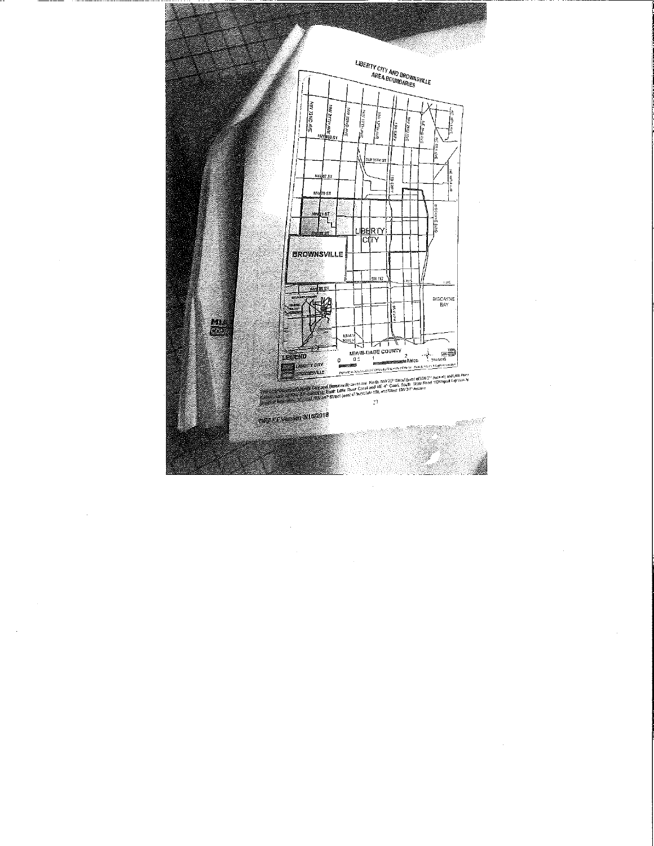